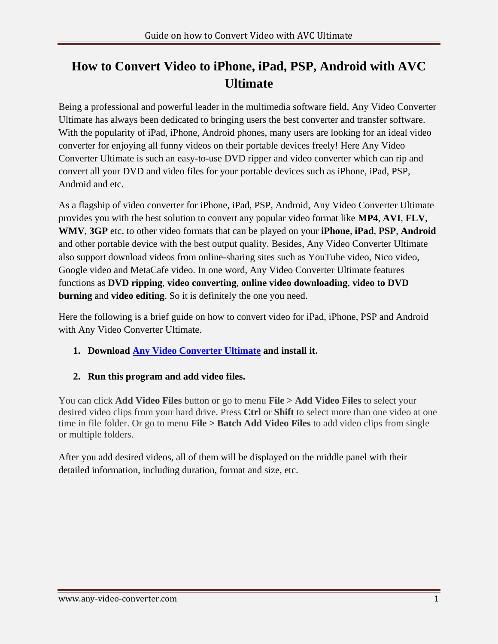## **How to Convert Video to iPhone, iPad, PSP, Android with AVC Ultimate**

Being a professional and powerful leader in the multimedia software field, Any Video Converter Ultimate has always been dedicated to bringing users the best converter and transfer software. With the popularity of iPad, iPhone, Android phones, many users are looking for an ideal video converter for enjoying all funny videos on their portable devices freely! Here Any Video Converter Ultimate is such an easy-to-use DVD ripper and video converter which can rip and convert all your DVD and video files for your portable devices such as iPhone, iPad, PSP, Android and etc.

As a flagship of video converter for iPhone, iPad, PSP, Android, Any Video Converter Ultimate provides you with the best solution to convert any popular video format like **MP4**, **AVI**, **FLV**, **WMV**, **3GP** etc. to other video formats that can be played on your **iPhone**, **iPad**, **PSP**, **Android** and other portable device with the best output quality. Besides, Any Video Converter Ultimate also support download videos from online-sharing sites such as YouTube video, Nico video, Google video and MetaCafe video. In one word, Any Video Converter Ultimate features functions as **DVD ripping**, **video converting**, **online video downloading**, **video to DVD burning** and **video editing**. So it is definitely the one you need.

Here the following is a brief guide on how to convert video for iPad, iPhone, PSP and Android with Any Video Converter Ultimate.

- **1. Download [Any Video Converter Ultimate](http://www.any-video-converter.com/avc-ultimate.exe) and install it.**
- **2. Run this program and add video files.**

You can click **Add Video Files** button or go to menu **File > Add Video Files** to select your desired video clips from your hard drive. Press **Ctrl** or **Shift** to select more than one video at one time in file folder. Or go to menu **File > Batch Add Video Files** to add video clips from single or multiple folders.

After you add desired videos, all of them will be displayed on the middle panel with their detailed information, including duration, format and size, etc.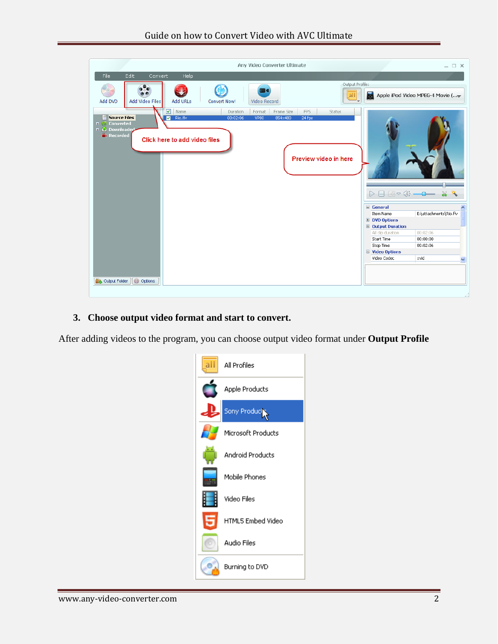| Any Video Converter Ultimate                                                                                                                                                                                                                                                                      |                                                                                                                                                              | $ \Box$ $\times$                                                                                                                                                                                                                   |
|---------------------------------------------------------------------------------------------------------------------------------------------------------------------------------------------------------------------------------------------------------------------------------------------------|--------------------------------------------------------------------------------------------------------------------------------------------------------------|------------------------------------------------------------------------------------------------------------------------------------------------------------------------------------------------------------------------------------|
| Edit.<br>Help<br>File<br>Convert                                                                                                                                                                                                                                                                  |                                                                                                                                                              |                                                                                                                                                                                                                                    |
| Output Profile:<br>œ<br>$\circ$<br> all<br>Add DVD<br>Add Video Files<br>Add URLs<br><b>Convert Now!</b><br>Video Record                                                                                                                                                                          |                                                                                                                                                              | Apple iPod Video MPEG-4 Movie (                                                                                                                                                                                                    |
| $\triangledown$ Name<br>Frame Size<br><b>FPS</b><br>Duration<br>Format<br><b>Status</b><br><b>Source Files</b><br>24 fps<br>Rio.fly<br>00:02:06<br><b>VP80</b><br>854×480<br><b>F Converted</b><br>■ 2 Downloaded<br><b>Fi</b> Recorded<br>Click here to add video files<br>Preview video in here |                                                                                                                                                              | $\triangleright \ \square \ \widehat{\hspace{0.1cm}\square \hspace{0.1cm}} \triangleright \ \square \ \widehat{\hspace{0.1cm}\square \hspace{0.1cm}} \cdot \blacksquare \ \longrightarrow \ \ \ \&\ \ \ \mathring{\blacktriangle}$ |
| <b>Options</b><br>Output Folder                                                                                                                                                                                                                                                                   | □ General<br>Item Name<br><b>E</b> DVD Options<br><b>D</b> Output Duration<br>All clip duration<br>Start Time<br>Stop Time<br>□ Video Options<br>Video Codec | E:\attachments\Rio.flv<br>00:02:06<br>00:00:00<br>00:02:06<br>xvid<br>$\checkmark$                                                                                                                                                 |

## **3. Choose output video format and start to convert.**

After adding videos to the program, you can choose output video format under **Output Profile**

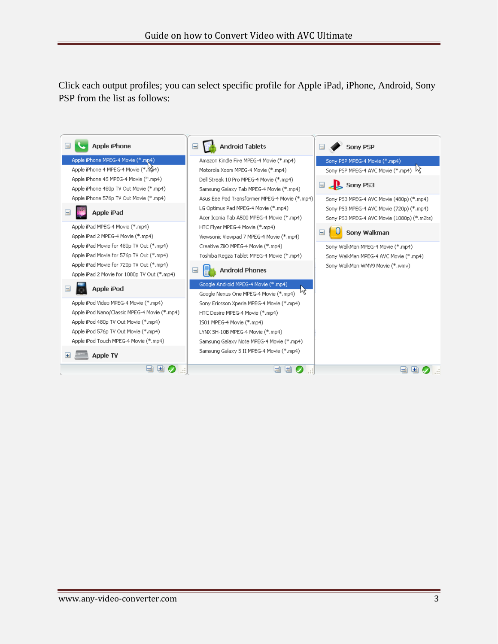Click each output profiles; you can select specific profile for Apple iPad, iPhone, Android, Sony PSP from the list as follows: